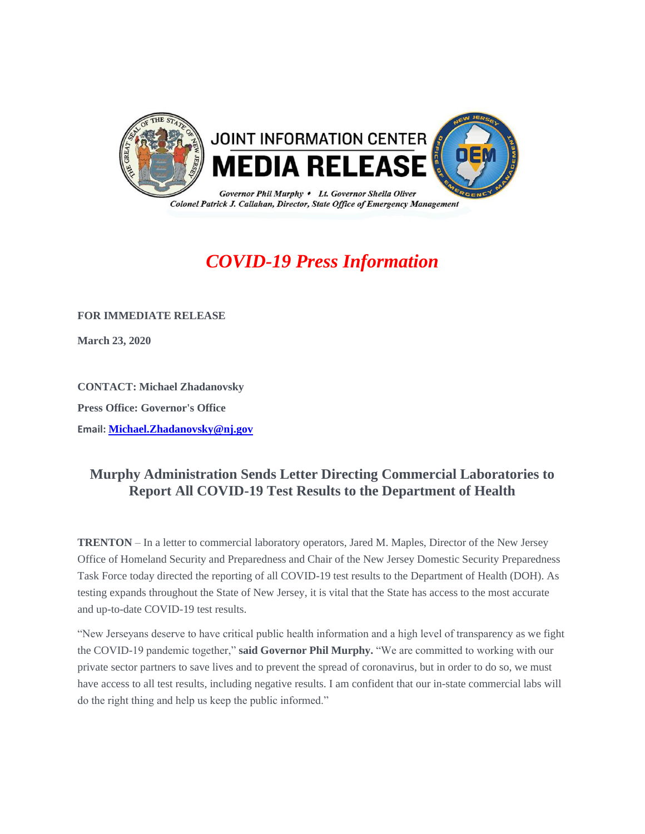

## *COVID-19 Press Information*

**FOR IMMEDIATE RELEASE**

**March 23, 2020** 

**CONTACT: Michael Zhadanovsky Press Office: Governor's Office Email: [Michael.Zhadanovsky@nj.gov](mailto:Michael.Zhadanovsky@nj.gov)**

## **Murphy Administration Sends Letter Directing Commercial Laboratories to Report All COVID-19 Test Results to the Department of Health**

**TRENTON** – In a letter to commercial laboratory operators, Jared M. Maples, Director of the New Jersey Office of Homeland Security and Preparedness and Chair of the New Jersey Domestic Security Preparedness Task Force today directed the reporting of all COVID-19 test results to the Department of Health (DOH). As testing expands throughout the State of New Jersey, it is vital that the State has access to the most accurate and up-to-date COVID-19 test results.

"New Jerseyans deserve to have critical public health information and a high level of transparency as we fight the COVID-19 pandemic together," **said Governor Phil Murphy.** "We are committed to working with our private sector partners to save lives and to prevent the spread of coronavirus, but in order to do so, we must have access to all test results, including negative results. I am confident that our in-state commercial labs will do the right thing and help us keep the public informed."